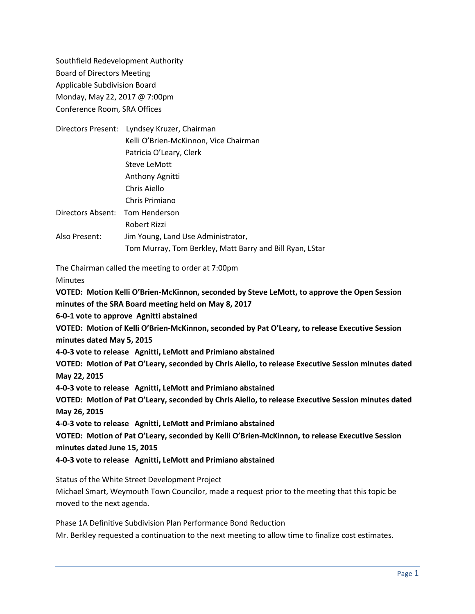Southfield Redevelopment Authority Board of Directors Meeting Applicable Subdivision Board Monday, May 22, 2017 @ 7:00pm Conference Room, SRA Offices

|                                 | Directors Present: Lyndsey Kruzer, Chairman              |
|---------------------------------|----------------------------------------------------------|
|                                 | Kelli O'Brien-McKinnon, Vice Chairman                    |
|                                 | Patricia O'Leary, Clerk                                  |
|                                 | Steve LeMott                                             |
|                                 | Anthony Agnitti                                          |
|                                 | Chris Aiello                                             |
|                                 | Chris Primiano                                           |
| Directors Absent: Tom Henderson |                                                          |
|                                 | Robert Rizzi                                             |
| Also Present:                   | Jim Young, Land Use Administrator,                       |
|                                 | Tom Murray, Tom Berkley, Matt Barry and Bill Ryan, LStar |

The Chairman called the meeting to order at 7:00pm

**Minutes** 

**VOTED: Motion Kelli O'Brien-McKinnon, seconded by Steve LeMott, to approve the Open Session minutes of the SRA Board meeting held on May 8, 2017**

**6-0-1 vote to approve Agnitti abstained**

**VOTED: Motion of Kelli O'Brien-McKinnon, seconded by Pat O'Leary, to release Executive Session minutes dated May 5, 2015**

**4-0-3 vote to release Agnitti, LeMott and Primiano abstained**

**VOTED: Motion of Pat O'Leary, seconded by Chris Aiello, to release Executive Session minutes dated May 22, 2015**

**4-0-3 vote to release Agnitti, LeMott and Primiano abstained**

**VOTED: Motion of Pat O'Leary, seconded by Chris Aiello, to release Executive Session minutes dated May 26, 2015**

**4-0-3 vote to release Agnitti, LeMott and Primiano abstained**

**VOTED: Motion of Pat O'Leary, seconded by Kelli O'Brien-McKinnon, to release Executive Session minutes dated June 15, 2015**

**4-0-3 vote to release Agnitti, LeMott and Primiano abstained**

Status of the White Street Development Project

Michael Smart, Weymouth Town Councilor, made a request prior to the meeting that this topic be moved to the next agenda.

Phase 1A Definitive Subdivision Plan Performance Bond Reduction Mr. Berkley requested a continuation to the next meeting to allow time to finalize cost estimates.